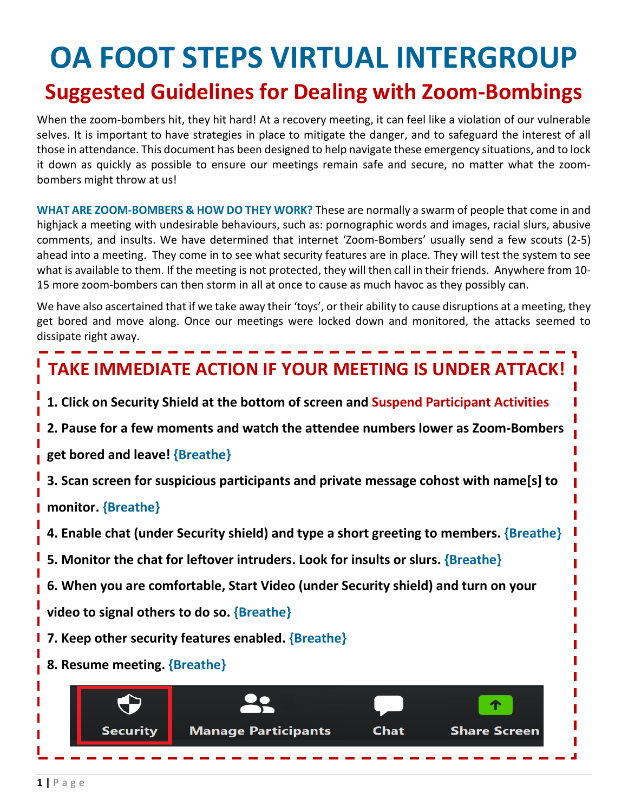# **OA FOOT STEPS VIRTUAL INTERGROUP Suggested Guidelines for Dealing with Zoom-Bombings**

When the zoom-bombers hit, they hit hard! At a recovery meeting, it can feel like a violation of our vulnerable selves. It is important to have strategies in place to mitigate the danger, and to safeguard the interest of all those in attendance. This document has been designed to help navigate these emergency situations, and to lock it down as quickly as possible to ensure our meetings remain safe and secure, no matter what the zoombombers might throw at us!

**WHAT ARE ZOOM-BOMBERS & HOW DO THEY WORK?** These are normally a swarm of people that come in and highjack a meeting with undesirable behaviours, such as: pornographic words and images, racial slurs, abusive comments, and insults. We have determined that internet 'Zoom-Bombers' usually send a few scouts (2-5) ahead into a meeting. They come in to see what security features are in place. They will test the system to see what is available to them. If the meeting is not protected, they will then call in their friends. Anywhere from 10- 15 more zoom-bombers can then storm in all at once to cause as much havoc as they possibly can.

We have also ascertained that if we take away their 'toys', or their ability to cause disruptions at a meeting, they get bored and move along. Once our meetings were locked down and monitored, the attacks seemed to dissipate right away.

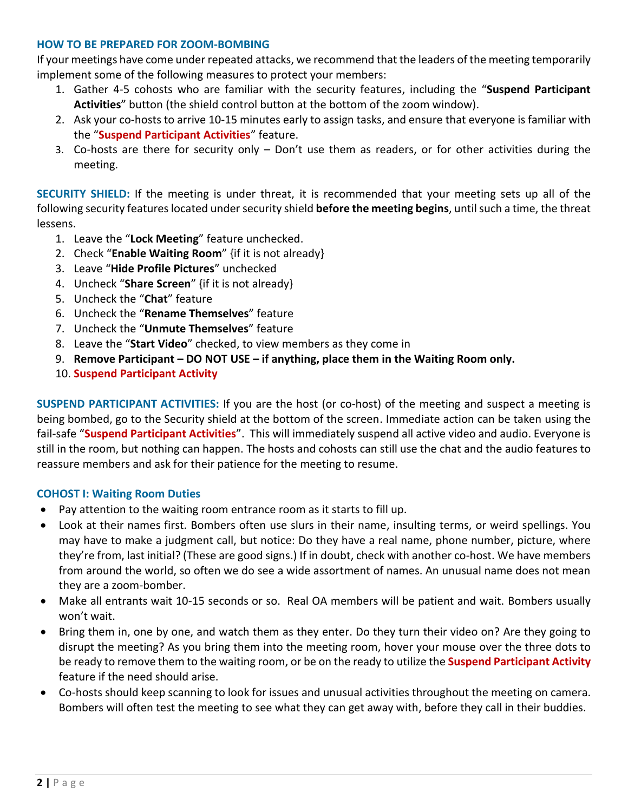#### **HOW TO BE PREPARED FOR ZOOM-BOMBING**

If your meetings have come under repeated attacks, we recommend that the leaders of the meeting temporarily implement some of the following measures to protect your members:

- 1. Gather 4-5 cohosts who are familiar with the security features, including the "**Suspend Participant Activities**" button (the shield control button at the bottom of the zoom window).
- 2. Ask your co-hosts to arrive 10-15 minutes early to assign tasks, and ensure that everyone is familiar with the "**Suspend Participant Activities**" feature.
- 3. Co-hosts are there for security only Don't use them as readers, or for other activities during the meeting.

**SECURITY SHIELD:** If the meeting is under threat, it is recommended that your meeting sets up all of the following security features located under security shield **before the meeting begins**, untilsuch a time, the threat lessens.

- 1. Leave the "**Lock Meeting**" feature unchecked.
- 2. Check "**Enable Waiting Room**" {if it is not already}
- 3. Leave "**Hide Profile Pictures**" unchecked
- 4. Uncheck "**Share Screen**" {if it is not already}
- 5. Uncheck the "**Chat**" feature
- 6. Uncheck the "**Rename Themselves**" feature
- 7. Uncheck the "**Unmute Themselves**" feature
- 8. Leave the "**Start Video**" checked, to view members as they come in
- 9. **Remove Participant – DO NOT USE – if anything, place them in the Waiting Room only.**
- 10. **Suspend Participant Activity**

**SUSPEND PARTICIPANT ACTIVITIES:** If you are the host (or co-host) of the meeting and suspect a meeting is being bombed, go to the Security shield at the bottom of the screen. Immediate action can be taken using the fail-safe "**Suspend Participant Activities**". This will immediately suspend all active video and audio. Everyone is still in the room, but nothing can happen. The hosts and cohosts can still use the chat and the audio features to reassure members and ask for their patience for the meeting to resume.

#### **COHOST I: Waiting Room Duties**

- Pay attention to the waiting room entrance room as it starts to fill up.
- Look at their names first. Bombers often use slurs in their name, insulting terms, or weird spellings. You may have to make a judgment call, but notice: Do they have a real name, phone number, picture, where they're from, last initial? (These are good signs.) If in doubt, check with another co-host. We have members from around the world, so often we do see a wide assortment of names. An unusual name does not mean they are a zoom-bomber.
- Make all entrants wait 10-15 seconds or so. Real OA members will be patient and wait. Bombers usually won't wait.
- Bring them in, one by one, and watch them as they enter. Do they turn their video on? Are they going to disrupt the meeting? As you bring them into the meeting room, hover your mouse over the three dots to be ready to remove them to the waiting room, or be on the ready to utilize the **Suspend Participant Activity** feature if the need should arise.
- Co-hosts should keep scanning to look for issues and unusual activities throughout the meeting on camera. Bombers will often test the meeting to see what they can get away with, before they call in their buddies.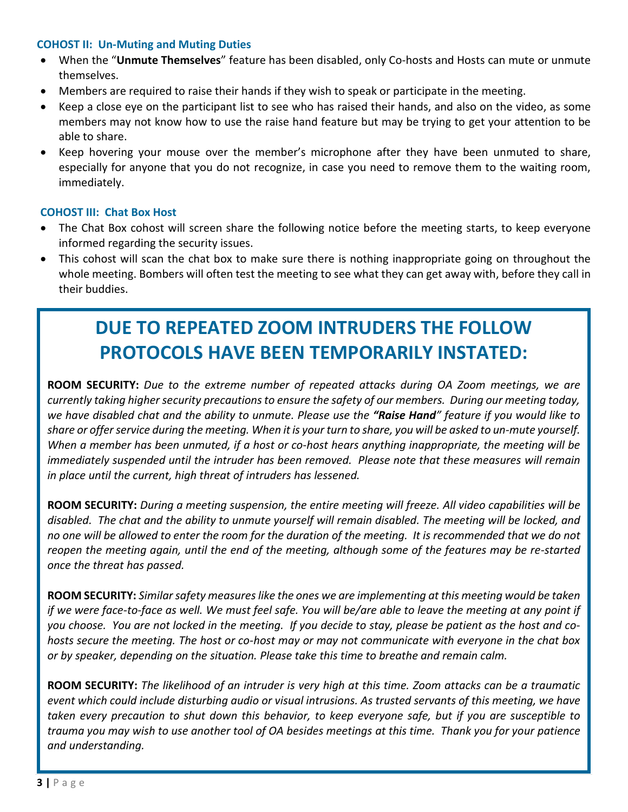#### **COHOST II: Un-Muting and Muting Duties**

- When the "**Unmute Themselves**" feature has been disabled, only Co-hosts and Hosts can mute or unmute themselves.
- Members are required to raise their hands if they wish to speak or participate in the meeting.
- Keep a close eye on the participant list to see who has raised their hands, and also on the video, as some members may not know how to use the raise hand feature but may be trying to get your attention to be able to share.
- Keep hovering your mouse over the member's microphone after they have been unmuted to share, especially for anyone that you do not recognize, in case you need to remove them to the waiting room, immediately.

#### **COHOST III: Chat Box Host**

- The Chat Box cohost will screen share the following notice before the meeting starts, to keep everyone informed regarding the security issues.
- This cohost will scan the chat box to make sure there is nothing inappropriate going on throughout the whole meeting. Bombers will often test the meeting to see what they can get away with, before they call in their buddies.

## **DUE TO REPEATED ZOOM INTRUDERS THE FOLLOW PROTOCOLS HAVE BEEN TEMPORARILY INSTATED:**

**ROOM SECURITY:** *Due to the extreme number of repeated attacks during OA Zoom meetings, we are currently taking higher security precautions to ensure the safety of our members. During our meeting today, we have disabled chat and the ability to unmute. Please use the "Raise Hand" feature if you would like to share or offer service during the meeting. When it is your turn to share, you will be asked to un-mute yourself. When a member has been unmuted, if a host or co-host hears anything inappropriate, the meeting will be immediately suspended until the intruder has been removed. Please note that these measures will remain in place until the current, high threat of intruders has lessened.*

**ROOM SECURITY:** *During a meeting suspension, the entire meeting will freeze. All video capabilities will be disabled. The chat and the ability to unmute yourself will remain disabled. The meeting will be locked, and no one will be allowed to enter the room for the duration of the meeting. It is recommended that we do not reopen the meeting again, until the end of the meeting, although some of the features may be re-started once the threat has passed.* 

**ROOM SECURITY:** *Similarsafety measures like the ones we are implementing at this meeting would be taken if we were face-to-face as well. We must feel safe. You will be/are able to leave the meeting at any point if you choose. You are not locked in the meeting. If you decide to stay, please be patient as the host and cohosts secure the meeting. The host or co-host may or may not communicate with everyone in the chat box or by speaker, depending on the situation. Please take this time to breathe and remain calm.* 

**ROOM SECURITY:** *The likelihood of an intruder is very high at this time. Zoom attacks can be a traumatic event which could include disturbing audio or visual intrusions. As trusted servants of this meeting, we have taken every precaution to shut down this behavior, to keep everyone safe, but if you are susceptible to trauma you may wish to use another tool of OA besides meetings at this time. Thank you for your patience and understanding.*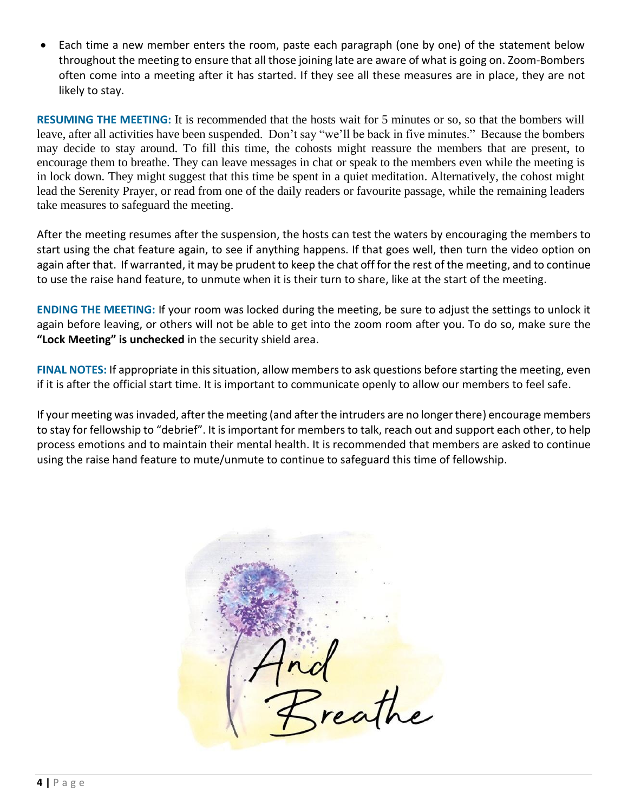• Each time a new member enters the room, paste each paragraph (one by one) of the statement below throughout the meeting to ensure that all those joining late are aware of what is going on. Zoom-Bombers often come into a meeting after it has started. If they see all these measures are in place, they are not likely to stay.

**RESUMING THE MEETING:** It is recommended that the hosts wait for 5 minutes or so, so that the bombers will leave, after all activities have been suspended. Don't say "we'll be back in five minutes." Because the bombers may decide to stay around. To fill this time, the cohosts might reassure the members that are present, to encourage them to breathe. They can leave messages in chat or speak to the members even while the meeting is in lock down. They might suggest that this time be spent in a quiet meditation. Alternatively, the cohost might lead the Serenity Prayer, or read from one of the daily readers or favourite passage, while the remaining leaders take measures to safeguard the meeting.

After the meeting resumes after the suspension, the hosts can test the waters by encouraging the members to start using the chat feature again, to see if anything happens. If that goes well, then turn the video option on again after that. If warranted, it may be prudent to keep the chat off for the rest of the meeting, and to continue to use the raise hand feature, to unmute when it is their turn to share, like at the start of the meeting.

**ENDING THE MEETING:** If your room was locked during the meeting, be sure to adjust the settings to unlock it again before leaving, or others will not be able to get into the zoom room after you. To do so, make sure the **"Lock Meeting" is unchecked** in the security shield area.

**FINAL NOTES:** If appropriate in this situation, allow members to ask questions before starting the meeting, even if it is after the official start time. It is important to communicate openly to allow our members to feel safe.

If your meeting was invaded, after the meeting (and after the intruders are no longer there) encourage members to stay for fellowship to "debrief". It is important for members to talk, reach out and support each other, to help process emotions and to maintain their mental health. It is recommended that members are asked to continue using the raise hand feature to mute/unmute to continue to safeguard this time of fellowship.